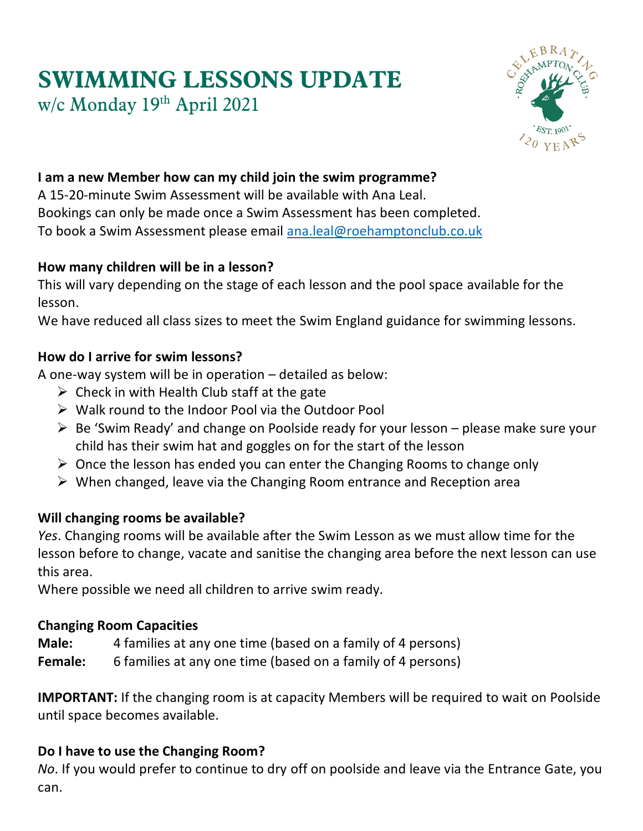# **SWIMMING LESSONS UPDATE** w/c Monday 19 th April 2021



# **I am a new Member how can my child join the swim programme?**

A 15-20-minute Swim Assessment will be available with Ana Leal. Bookings can only be made once a Swim Assessment has been completed. To book a Swim Assessment please email [ana.leal@roehamptonclub.co.uk](mailto:ana.leal@roehamptonclub.co.uk)

#### **How many children will be in a lesson?**

This will vary depending on the stage of each lesson and the pool space available for the lesson.

We have reduced all class sizes to meet the Swim England guidance for swimming lessons.

## **How do I arrive for swim lessons?**

A one-way system will be in operation – detailed as below:

- $\triangleright$  Check in with Health Club staff at the gate
- ➢ Walk round to the Indoor Pool via the Outdoor Pool
- $\triangleright$  Be 'Swim Ready' and change on Poolside ready for your lesson please make sure your child has their swim hat and goggles on for the start of the lesson
- $\triangleright$  Once the lesson has ended you can enter the Changing Rooms to change only
- $\triangleright$  When changed, leave via the Changing Room entrance and Reception area

# **Will changing rooms be available?**

*Yes*. Changing rooms will be available after the Swim Lesson as we must allow time for the lesson before to change, vacate and sanitise the changing area before the next lesson can use this area.

Where possible we need all children to arrive swim ready.

#### **Changing Room Capacities**

**Male:** 4 families at any one time (based on a family of 4 persons)

**Female:** 6 families at any one time (based on a family of 4 persons)

**IMPORTANT:** If the changing room is at capacity Members will be required to wait on Poolside until space becomes available.

# **Do I have to use the Changing Room?**

*No*. If you would prefer to continue to dry off on poolside and leave via the Entrance Gate, you can.